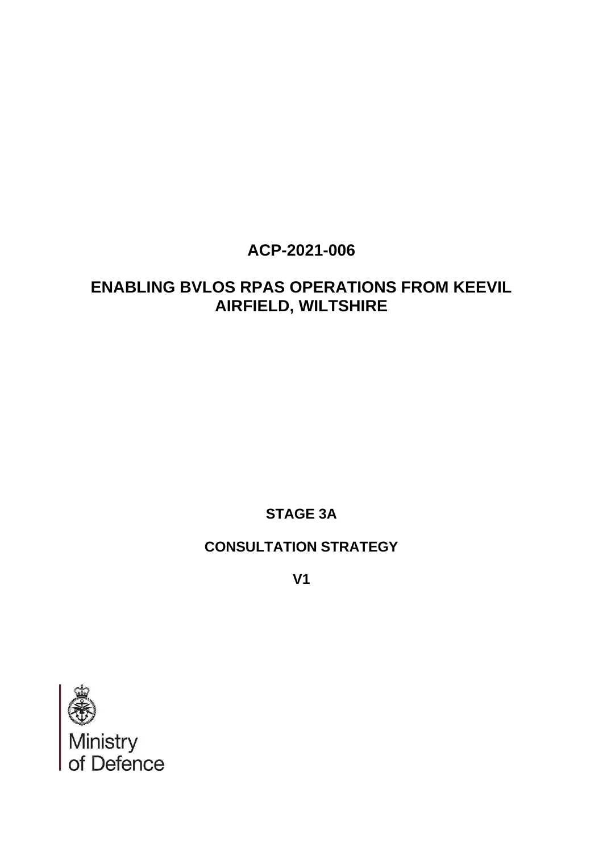# **ACP-2021-006**

# **ENABLING BVLOS RPAS OPERATIONS FROM KEEVIL AIRFIELD, WILTSHIRE**

**STAGE 3A**

## **CONSULTATION STRATEGY**

**V1**

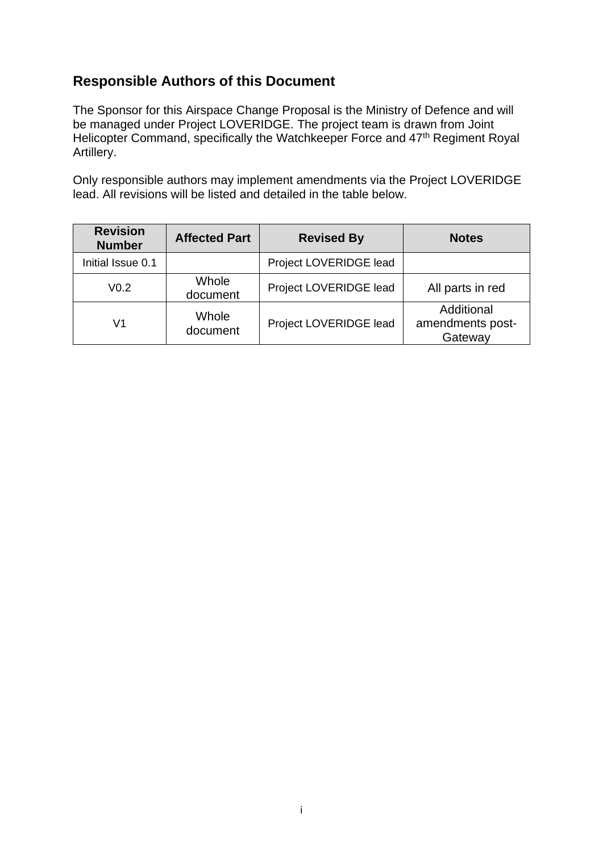### **Responsible Authors of this Document**

The Sponsor for this Airspace Change Proposal is the Ministry of Defence and will be managed under Project LOVERIDGE. The project team is drawn from Joint Helicopter Command, specifically the Watchkeeper Force and 47<sup>th</sup> Regiment Royal Artillery.

Only responsible authors may implement amendments via the Project LOVERIDGE lead. All revisions will be listed and detailed in the table below.

| <b>Revision</b><br><b>Number</b> | <b>Affected Part</b> | <b>Revised By</b>      | <b>Notes</b>                              |
|----------------------------------|----------------------|------------------------|-------------------------------------------|
| Initial Issue 0.1                |                      | Project LOVERIDGE lead |                                           |
| V <sub>0.2</sub>                 | Whole<br>document    | Project LOVERIDGE lead | All parts in red                          |
| V1                               | Whole<br>document    | Project LOVERIDGE lead | Additional<br>amendments post-<br>Gateway |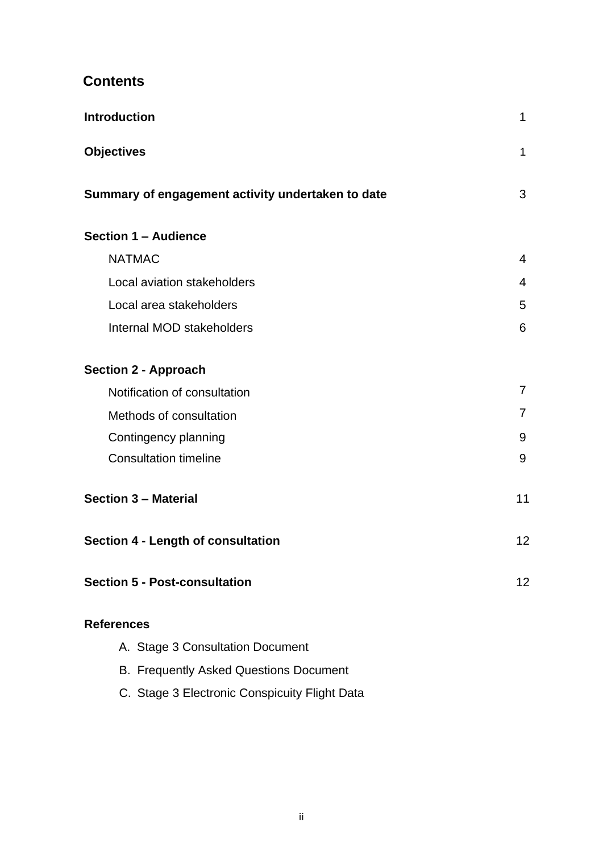## **Contents**

| <b>Introduction</b>                               | $\mathbf{1}$   |
|---------------------------------------------------|----------------|
| <b>Objectives</b>                                 | $\mathbf 1$    |
| Summary of engagement activity undertaken to date | 3              |
| <b>Section 1 - Audience</b>                       |                |
| <b>NATMAC</b>                                     | 4              |
| Local aviation stakeholders                       | $\overline{4}$ |
| Local area stakeholders                           | 5              |
| Internal MOD stakeholders                         | 6              |
| <b>Section 2 - Approach</b>                       |                |
| Notification of consultation                      | $\overline{7}$ |
| Methods of consultation                           | $\overline{7}$ |
| Contingency planning                              | 9              |
| <b>Consultation timeline</b>                      | 9              |
| <b>Section 3 - Material</b>                       | 11             |
| <b>Section 4 - Length of consultation</b>         | 12             |
| <b>Section 5 - Post-consultation</b>              | 12             |
| <b>References</b>                                 |                |
| A. Stage 3 Consultation Document                  |                |
| <b>B. Frequently Asked Questions Document</b>     |                |
|                                                   |                |

C. Stage 3 Electronic Conspicuity Flight Data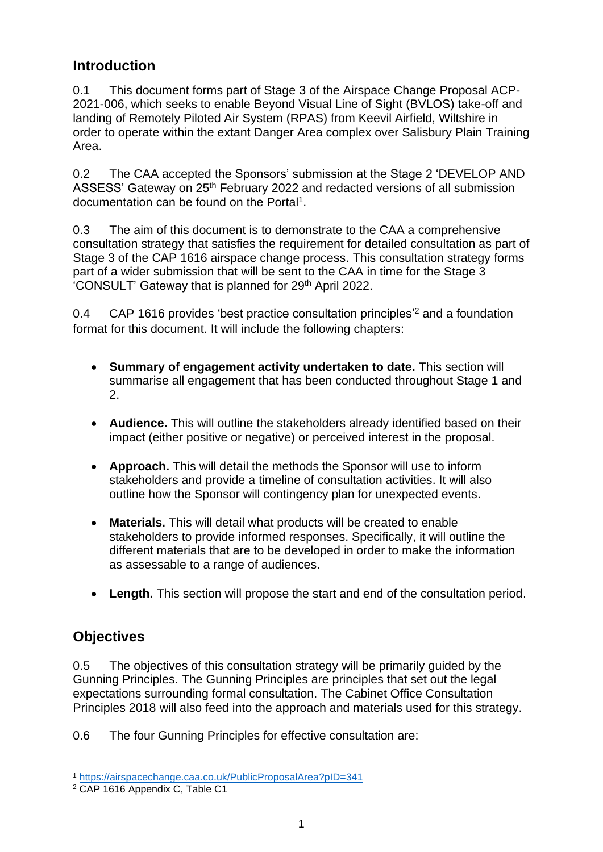### <span id="page-3-0"></span>**Introduction**

0.1 This document forms part of Stage 3 of the Airspace Change Proposal ACP-2021-006, which seeks to enable Beyond Visual Line of Sight (BVLOS) take-off and landing of Remotely Piloted Air System (RPAS) from Keevil Airfield, Wiltshire in order to operate within the extant Danger Area complex over Salisbury Plain Training Area.

0.2 The CAA accepted the Sponsors' submission at the Stage 2 'DEVELOP AND ASSESS' Gateway on 25<sup>th</sup> February 2022 and redacted versions of all submission documentation can be found on the Portal<sup>1</sup>.

0.3 The aim of this document is to demonstrate to the CAA a comprehensive consultation strategy that satisfies the requirement for detailed consultation as part of Stage 3 of the CAP 1616 airspace change process. This consultation strategy forms part of a wider submission that will be sent to the CAA in time for the Stage 3 'CONSULT' Gateway that is planned for 29th April 2022.

0.4 CAP 1616 provides 'best practice consultation principles'<sup>2</sup> and a foundation format for this document. It will include the following chapters:

- **Summary of engagement activity undertaken to date.** This section will summarise all engagement that has been conducted throughout Stage 1 and 2.
- **Audience.** This will outline the stakeholders already identified based on their impact (either positive or negative) or perceived interest in the proposal.
- **Approach.** This will detail the methods the Sponsor will use to inform stakeholders and provide a timeline of consultation activities. It will also outline how the Sponsor will contingency plan for unexpected events.
- **Materials.** This will detail what products will be created to enable stakeholders to provide informed responses. Specifically, it will outline the different materials that are to be developed in order to make the information as assessable to a range of audiences.
- **Length.** This section will propose the start and end of the consultation period.

### **Objectives**

0.5 The objectives of this consultation strategy will be primarily guided by the Gunning Principles. The Gunning Principles are principles that set out the legal expectations surrounding formal consultation. The Cabinet Office Consultation Principles 2018 will also feed into the approach and materials used for this strategy.

0.6 The four Gunning Principles for effective consultation are:

<sup>1</sup> <https://airspacechange.caa.co.uk/PublicProposalArea?pID=341>

<sup>2</sup> CAP 1616 Appendix C, Table C1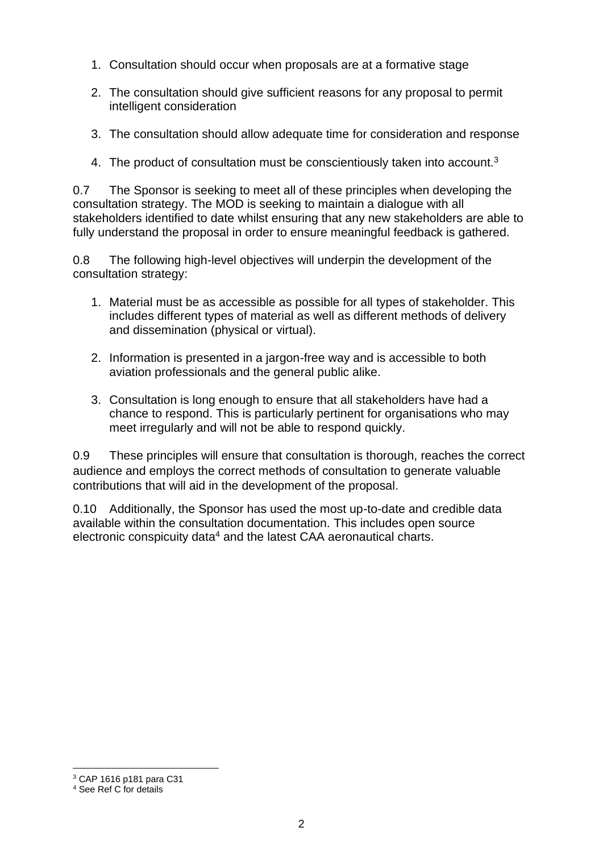- 1. Consultation should occur when proposals are at a formative stage
- 2. The consultation should give sufficient reasons for any proposal to permit intelligent consideration
- 3. The consultation should allow adequate time for consideration and response
- 4. The product of consultation must be conscientiously taken into account.<sup>3</sup>

0.7 The Sponsor is seeking to meet all of these principles when developing the consultation strategy. The MOD is seeking to maintain a dialogue with all stakeholders identified to date whilst ensuring that any new stakeholders are able to fully understand the proposal in order to ensure meaningful feedback is gathered.

0.8 The following high-level objectives will underpin the development of the consultation strategy:

- 1. Material must be as accessible as possible for all types of stakeholder. This includes different types of material as well as different methods of delivery and dissemination (physical or virtual).
- 2. Information is presented in a jargon-free way and is accessible to both aviation professionals and the general public alike.
- 3. Consultation is long enough to ensure that all stakeholders have had a chance to respond. This is particularly pertinent for organisations who may meet irregularly and will not be able to respond quickly.

0.9 These principles will ensure that consultation is thorough, reaches the correct audience and employs the correct methods of consultation to generate valuable contributions that will aid in the development of the proposal.

0.10 Additionally, the Sponsor has used the most up-to-date and credible data available within the consultation documentation. This includes open source electronic conspicuity data<sup>4</sup> and the latest CAA aeronautical charts.

<sup>3</sup> CAP 1616 p181 para C31

<sup>4</sup> See Ref C for details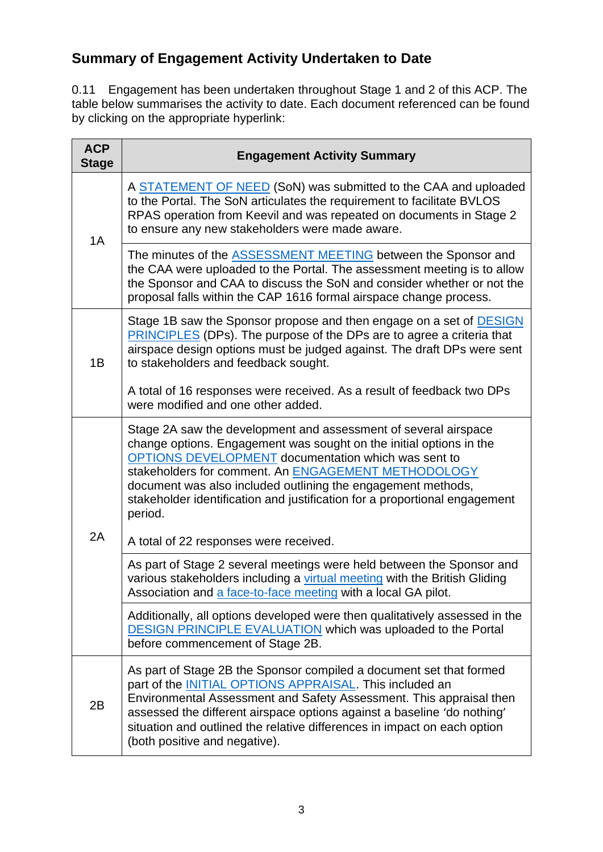# **Summary of Engagement Activity Undertaken to Date**

0.11 Engagement has been undertaken throughout Stage 1 and 2 of this ACP. The table below summarises the activity to date. Each document referenced can be found by clicking on the appropriate hyperlink:

| <b>ACP</b><br><b>Stage</b> | <b>Engagement Activity Summary</b>                                                                                                                                                                                                                                                                                                                                                                            |
|----------------------------|---------------------------------------------------------------------------------------------------------------------------------------------------------------------------------------------------------------------------------------------------------------------------------------------------------------------------------------------------------------------------------------------------------------|
| 1A                         | A STATEMENT OF NEED (SoN) was submitted to the CAA and uploaded<br>to the Portal. The SoN articulates the requirement to facilitate BVLOS<br>RPAS operation from Keevil and was repeated on documents in Stage 2<br>to ensure any new stakeholders were made aware.                                                                                                                                           |
|                            | The minutes of the <b>ASSESSMENT MEETING</b> between the Sponsor and<br>the CAA were uploaded to the Portal. The assessment meeting is to allow<br>the Sponsor and CAA to discuss the SoN and consider whether or not the<br>proposal falls within the CAP 1616 formal airspace change process.                                                                                                               |
| 1B                         | Stage 1B saw the Sponsor propose and then engage on a set of <b>DESIGN</b><br><b>PRINCIPLES</b> (DPs). The purpose of the DPs are to agree a criteria that<br>airspace design options must be judged against. The draft DPs were sent<br>to stakeholders and feedback sought.                                                                                                                                 |
|                            | A total of 16 responses were received. As a result of feedback two DPs<br>were modified and one other added.                                                                                                                                                                                                                                                                                                  |
| 2A                         | Stage 2A saw the development and assessment of several airspace<br>change options. Engagement was sought on the initial options in the<br>OPTIONS DEVELOPMENT documentation which was sent to<br>stakeholders for comment. An ENGAGEMENT METHODOLOGY<br>document was also included outlining the engagement methods,<br>stakeholder identification and justification for a proportional engagement<br>period. |
|                            | A total of 22 responses were received.                                                                                                                                                                                                                                                                                                                                                                        |
|                            | As part of Stage 2 several meetings were held between the Sponsor and<br>various stakeholders including a virtual meeting with the British Gliding<br>Association and a face-to-face meeting with a local GA pilot.                                                                                                                                                                                           |
|                            | Additionally, all options developed were then qualitatively assessed in the<br><b>DESIGN PRINCIPLE EVALUATION which was uploaded to the Portal</b><br>before commencement of Stage 2B.                                                                                                                                                                                                                        |
| 2B                         | As part of Stage 2B the Sponsor compiled a document set that formed<br>part of the <b>INITIAL OPTIONS APPRAISAL</b> . This included an<br>Environmental Assessment and Safety Assessment. This appraisal then<br>assessed the different airspace options against a baseline 'do nothing'<br>situation and outlined the relative differences in impact on each option<br>(both positive and negative).         |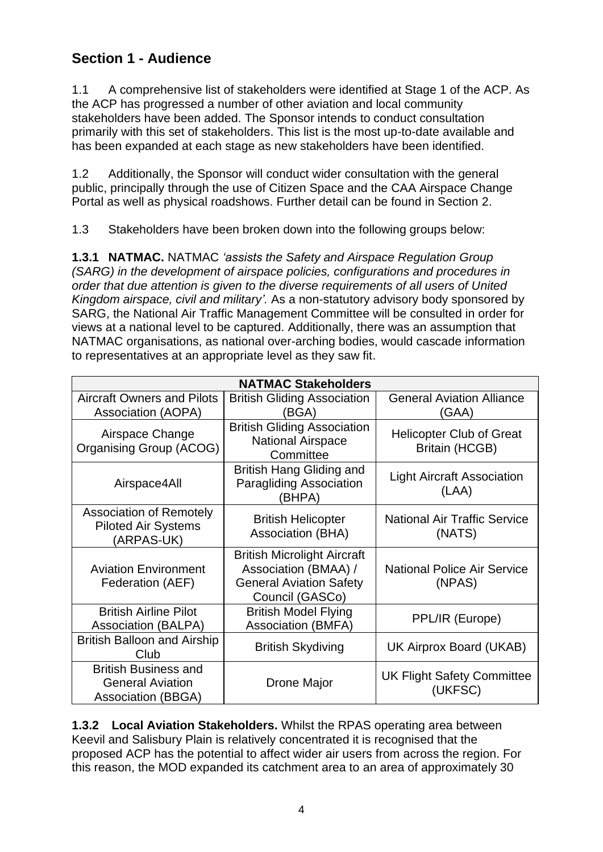# **Section 1 - Audience**

1.1 A comprehensive list of stakeholders were identified at Stage 1 of the ACP. As the ACP has progressed a number of other aviation and local community stakeholders have been added. The Sponsor intends to conduct consultation primarily with this set of stakeholders. This list is the most up-to-date available and has been expanded at each stage as new stakeholders have been identified.

1.2 Additionally, the Sponsor will conduct wider consultation with the general public, principally through the use of Citizen Space and the CAA Airspace Change Portal as well as physical roadshows. Further detail can be found in Section 2.

1.3 Stakeholders have been broken down into the following groups below:

**1.3.1 NATMAC.** NATMAC *'assists the Safety and Airspace Regulation Group (SARG) in the development of airspace policies, configurations and procedures in order that due attention is given to the diverse requirements of all users of United Kingdom airspace, civil and military'.* As a non-statutory advisory body sponsored by SARG, the National Air Traffic Management Committee will be consulted in order for views at a national level to be captured. Additionally, there was an assumption that NATMAC organisations, as national over-arching bodies, would cascade information to representatives at an appropriate level as they saw fit.

| <b>NATMAC Stakeholders</b>                                                          |                                                                                                                 |                                                          |  |
|-------------------------------------------------------------------------------------|-----------------------------------------------------------------------------------------------------------------|----------------------------------------------------------|--|
| <b>Aircraft Owners and Pilots</b><br>Association (AOPA)                             | <b>British Gliding Association</b><br>(BGA)                                                                     | <b>General Aviation Alliance</b><br>(GAA)                |  |
| Airspace Change<br>Organising Group (ACOG)                                          | <b>British Gliding Association</b><br><b>National Airspace</b><br>Committee                                     | <b>Helicopter Club of Great</b><br><b>Britain (HCGB)</b> |  |
| Airspace4All                                                                        | British Hang Gliding and<br><b>Paragliding Association</b><br>(BHPA)                                            | <b>Light Aircraft Association</b><br>(LAA)               |  |
| <b>Association of Remotely</b><br><b>Piloted Air Systems</b><br>(ARPAS-UK)          | <b>British Helicopter</b><br>Association (BHA)                                                                  | <b>National Air Traffic Service</b><br>(NATS)            |  |
| <b>Aviation Environment</b><br>Federation (AEF)                                     | <b>British Microlight Aircraft</b><br>Association (BMAA) /<br><b>General Aviation Safety</b><br>Council (GASCo) | <b>National Police Air Service</b><br>(NPAS)             |  |
| <b>British Airline Pilot</b><br><b>Association (BALPA)</b>                          | <b>British Model Flying</b><br><b>Association (BMFA)</b>                                                        | PPL/IR (Europe)                                          |  |
| <b>British Balloon and Airship</b><br>Club                                          | <b>British Skydiving</b>                                                                                        | UK Airprox Board (UKAB)                                  |  |
| <b>British Business and</b><br><b>General Aviation</b><br><b>Association (BBGA)</b> | Drone Major                                                                                                     | <b>UK Flight Safety Committee</b><br>(UKFSC)             |  |

**1.3.2 Local Aviation Stakeholders.** Whilst the RPAS operating area between Keevil and Salisbury Plain is relatively concentrated it is recognised that the proposed ACP has the potential to affect wider air users from across the region. For this reason, the MOD expanded its catchment area to an area of approximately 30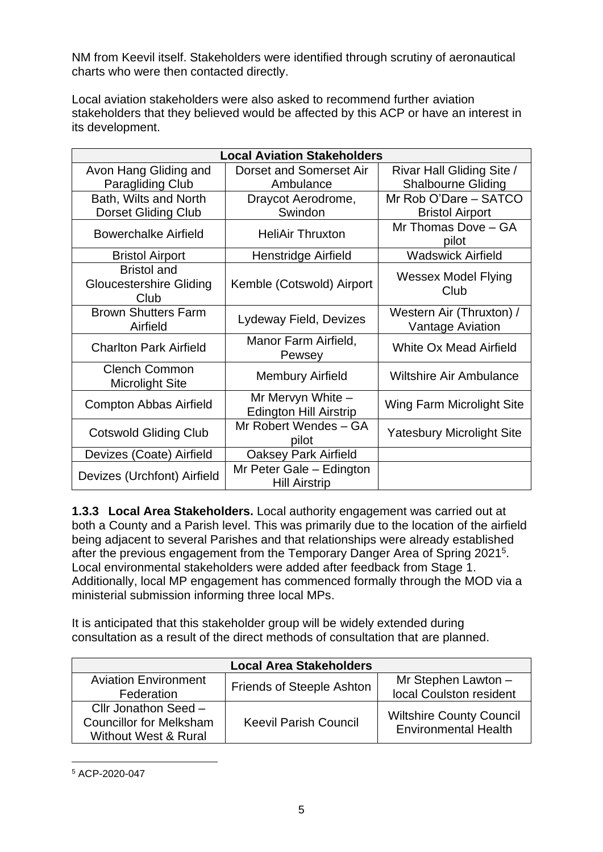NM from Keevil itself. Stakeholders were identified through scrutiny of aeronautical charts who were then contacted directly.

Local aviation stakeholders were also asked to recommend further aviation stakeholders that they believed would be affected by this ACP or have an interest in its development.

| <b>Local Aviation Stakeholders</b>                           |                                                      |                                                     |  |
|--------------------------------------------------------------|------------------------------------------------------|-----------------------------------------------------|--|
| Avon Hang Gliding and                                        | <b>Dorset and Somerset Air</b>                       | Rivar Hall Gliding Site /                           |  |
| <b>Paragliding Club</b>                                      | Ambulance                                            | <b>Shalbourne Gliding</b>                           |  |
| Bath, Wilts and North                                        | Draycot Aerodrome,                                   | Mr Rob O'Dare - SATCO                               |  |
| <b>Dorset Gliding Club</b>                                   | Swindon                                              | <b>Bristol Airport</b>                              |  |
| <b>Bowerchalke Airfield</b>                                  | <b>HeliAir Thruxton</b>                              | Mr Thomas Dove - GA<br>pilot                        |  |
| <b>Bristol Airport</b>                                       | Henstridge Airfield                                  | <b>Wadswick Airfield</b>                            |  |
| <b>Bristol and</b><br><b>Gloucestershire Gliding</b><br>Club | Kemble (Cotswold) Airport                            | <b>Wessex Model Flying</b><br>Club                  |  |
| <b>Brown Shutters Farm</b><br>Airfield                       | Lydeway Field, Devizes                               | Western Air (Thruxton) /<br><b>Vantage Aviation</b> |  |
| <b>Charlton Park Airfield</b>                                | Manor Farm Airfield,<br>Pewsey                       | White Ox Mead Airfield                              |  |
| <b>Clench Common</b><br><b>Microlight Site</b>               | <b>Membury Airfield</b>                              | <b>Wiltshire Air Ambulance</b>                      |  |
| <b>Compton Abbas Airfield</b>                                | Mr Mervyn White $-$<br><b>Edington Hill Airstrip</b> | Wing Farm Microlight Site                           |  |
| <b>Cotswold Gliding Club</b>                                 | Mr Robert Wendes - GA<br>pilot                       | <b>Yatesbury Microlight Site</b>                    |  |
| Devizes (Coate) Airfield                                     | <b>Oaksey Park Airfield</b>                          |                                                     |  |
| Devizes (Urchfont) Airfield                                  | Mr Peter Gale - Edington<br><b>Hill Airstrip</b>     |                                                     |  |

**1.3.3 Local Area Stakeholders.** Local authority engagement was carried out at both a County and a Parish level. This was primarily due to the location of the airfield being adjacent to several Parishes and that relationships were already established after the previous engagement from the Temporary Danger Area of Spring 2021<sup>5</sup>. Local environmental stakeholders were added after feedback from Stage 1. Additionally, local MP engagement has commenced formally through the MOD via a ministerial submission informing three local MPs.

It is anticipated that this stakeholder group will be widely extended during consultation as a result of the direct methods of consultation that are planned.

| <b>Local Area Stakeholders</b>                         |                              |                                 |  |
|--------------------------------------------------------|------------------------------|---------------------------------|--|
| <b>Aviation Environment</b>                            | Friends of Steeple Ashton    | Mr Stephen Lawton -             |  |
| Federation                                             |                              | local Coulston resident         |  |
| Cllr Jonathon Seed -                                   |                              | <b>Wiltshire County Council</b> |  |
| <b>Councillor for Melksham</b><br>Without West & Rural | <b>Keevil Parish Council</b> | <b>Environmental Health</b>     |  |

<sup>5</sup> ACP-2020-047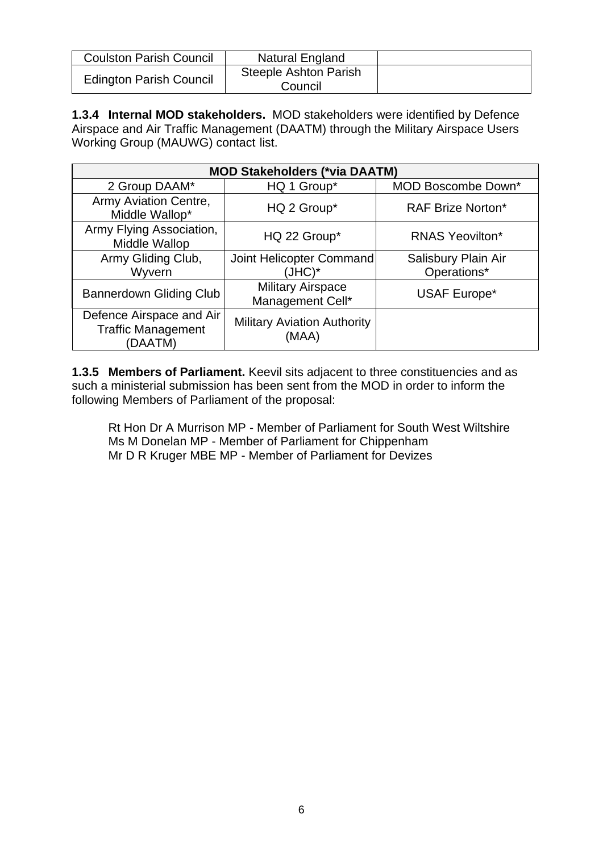| <b>Coulston Parish Council</b> | Natural England                         |  |
|--------------------------------|-----------------------------------------|--|
| <b>Edington Parish Council</b> | <b>Steeple Ashton Parish</b><br>Council |  |

**1.3.4 Internal MOD stakeholders.** MOD stakeholders were identified by Defence Airspace and Air Traffic Management (DAATM) through the Military Airspace Users Working Group (MAUWG) contact list.

| <b>MOD Stakeholders (*via DAATM)</b>                             |                                              |                                    |  |
|------------------------------------------------------------------|----------------------------------------------|------------------------------------|--|
| 2 Group DAAM*                                                    | HQ 1 Group*                                  | <b>MOD Boscombe Down*</b>          |  |
| Army Aviation Centre,<br>Middle Wallop*                          | HQ 2 Group*                                  | <b>RAF Brize Norton*</b>           |  |
| Army Flying Association,<br>Middle Wallop                        | HQ 22 Group*                                 | <b>RNAS Yeovilton*</b>             |  |
| Army Gliding Club,<br>Wyvern                                     | Joint Helicopter Command<br>(JHC)*           | Salisbury Plain Air<br>Operations* |  |
| <b>Bannerdown Gliding Club</b>                                   | <b>Military Airspace</b><br>Management Cell* | USAF Europe*                       |  |
| Defence Airspace and Air<br><b>Traffic Management</b><br>(DAATM) | <b>Military Aviation Authority</b><br>(MAA)  |                                    |  |

**1.3.5 Members of Parliament.** Keevil sits adjacent to three constituencies and as such a ministerial submission has been sent from the MOD in order to inform the following Members of Parliament of the proposal:

Rt Hon Dr A Murrison MP - Member of Parliament for South West Wiltshire Ms M Donelan MP - Member of Parliament for Chippenham Mr D R Kruger MBE MP - Member of Parliament for Devizes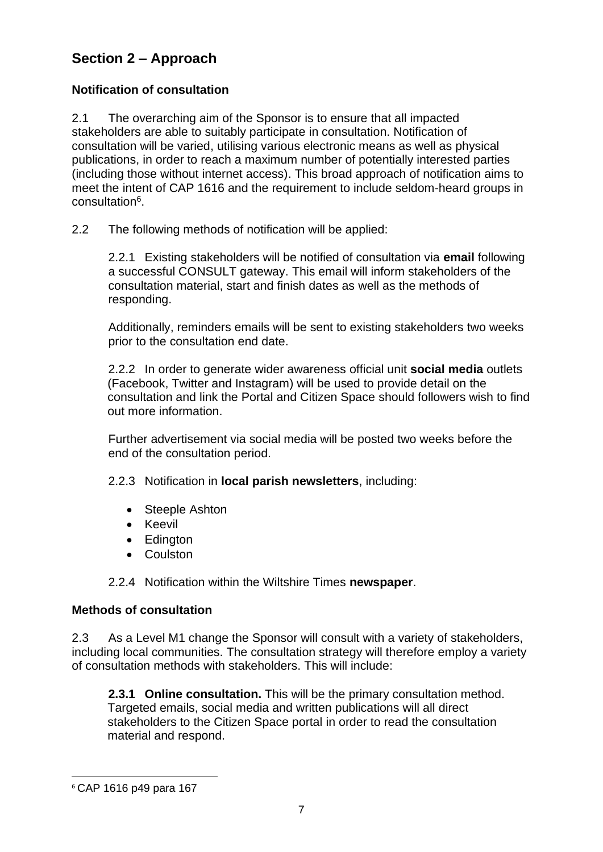# **Section 2 – Approach**

#### **Notification of consultation**

2.1 The overarching aim of the Sponsor is to ensure that all impacted stakeholders are able to suitably participate in consultation. Notification of consultation will be varied, utilising various electronic means as well as physical publications, in order to reach a maximum number of potentially interested parties (including those without internet access). This broad approach of notification aims to meet the intent of CAP 1616 and the requirement to include seldom-heard groups in consultation<sup>6</sup>.

2.2 The following methods of notification will be applied:

2.2.1 Existing stakeholders will be notified of consultation via **email** following a successful CONSULT gateway. This email will inform stakeholders of the consultation material, start and finish dates as well as the methods of responding.

Additionally, reminders emails will be sent to existing stakeholders two weeks prior to the consultation end date.

2.2.2 In order to generate wider awareness official unit **social media** outlets (Facebook, Twitter and Instagram) will be used to provide detail on the consultation and link the Portal and Citizen Space should followers wish to find out more information.

Further advertisement via social media will be posted two weeks before the end of the consultation period.

2.2.3 Notification in **local parish newsletters**, including:

- Steeple Ashton
- Keevil
- Edington
- Coulston

2.2.4 Notification within the Wiltshire Times **newspaper**.

#### **Methods of consultation**

2.3 As a Level M1 change the Sponsor will consult with a variety of stakeholders, including local communities. The consultation strategy will therefore employ a variety of consultation methods with stakeholders. This will include:

**2.3.1 Online consultation.** This will be the primary consultation method. Targeted emails, social media and written publications will all direct stakeholders to the Citizen Space portal in order to read the consultation material and respond.

<sup>6</sup> CAP 1616 p49 para 167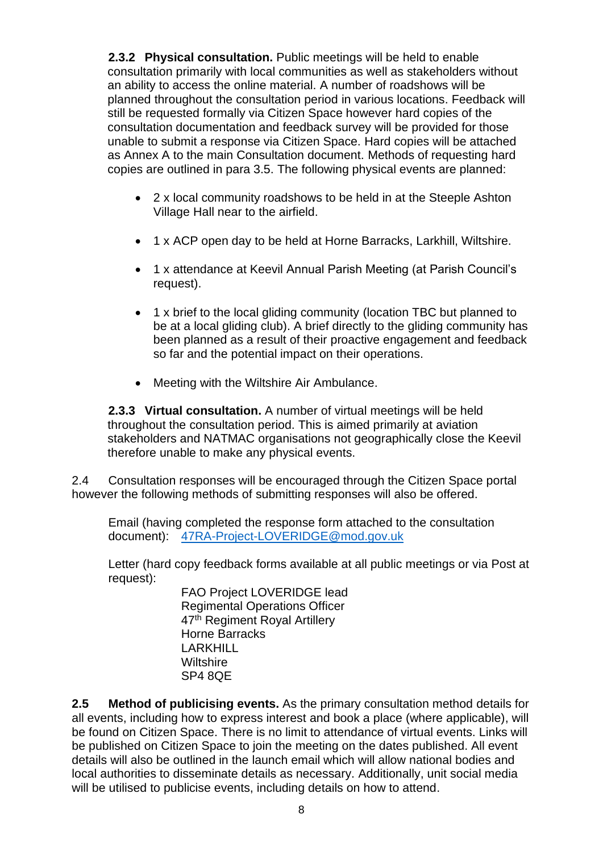**2.3.2 Physical consultation.** Public meetings will be held to enable consultation primarily with local communities as well as stakeholders without an ability to access the online material. A number of roadshows will be planned throughout the consultation period in various locations. Feedback will still be requested formally via Citizen Space however hard copies of the consultation documentation and feedback survey will be provided for those unable to submit a response via Citizen Space. Hard copies will be attached as Annex A to the main Consultation document. Methods of requesting hard copies are outlined in para 3.5. The following physical events are planned:

- 2 x local community roadshows to be held in at the Steeple Ashton Village Hall near to the airfield.
- 1 x ACP open day to be held at Horne Barracks, Larkhill, Wiltshire.
- 1 x attendance at Keevil Annual Parish Meeting (at Parish Council's request).
- 1 x brief to the local gliding community (location TBC but planned to be at a local gliding club). A brief directly to the gliding community has been planned as a result of their proactive engagement and feedback so far and the potential impact on their operations.
- Meeting with the Wiltshire Air Ambulance.

**2.3.3 Virtual consultation.** A number of virtual meetings will be held throughout the consultation period. This is aimed primarily at aviation stakeholders and NATMAC organisations not geographically close the Keevil therefore unable to make any physical events.

2.4 Consultation responses will be encouraged through the Citizen Space portal however the following methods of submitting responses will also be offered.

Email (having completed the response form attached to the consultation document): [47RA-Project-LOVERIDGE@mod.gov.uk](mailto:47RA-Project-LOVERIDGE@mod.gov.uk)

Letter (hard copy feedback forms available at all public meetings or via Post at request):

> FAO Project LOVERIDGE lead Regimental Operations Officer 47<sup>th</sup> Regiment Royal Artillery Horne Barracks LARKHILL **Wiltshire** SP4 8QE

**2.5 Method of publicising events.** As the primary consultation method details for all events, including how to express interest and book a place (where applicable), will be found on Citizen Space. There is no limit to attendance of virtual events. Links will be published on Citizen Space to join the meeting on the dates published. All event details will also be outlined in the launch email which will allow national bodies and local authorities to disseminate details as necessary. Additionally, unit social media will be utilised to publicise events, including details on how to attend.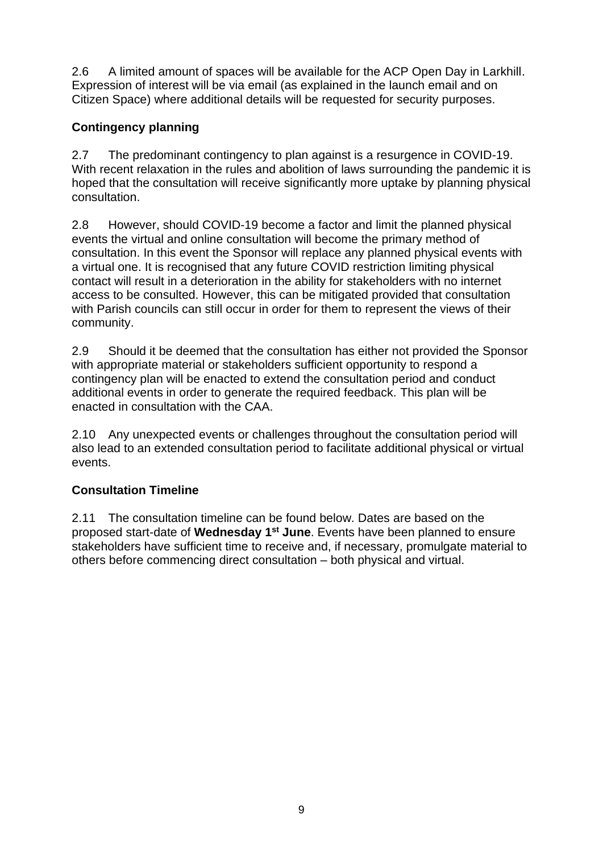2.6 A limited amount of spaces will be available for the ACP Open Day in Larkhill. Expression of interest will be via email (as explained in the launch email and on Citizen Space) where additional details will be requested for security purposes.

### **Contingency planning**

2.7 The predominant contingency to plan against is a resurgence in COVID-19. With recent relaxation in the rules and abolition of laws surrounding the pandemic it is hoped that the consultation will receive significantly more uptake by planning physical consultation.

2.8 However, should COVID-19 become a factor and limit the planned physical events the virtual and online consultation will become the primary method of consultation. In this event the Sponsor will replace any planned physical events with a virtual one. It is recognised that any future COVID restriction limiting physical contact will result in a deterioration in the ability for stakeholders with no internet access to be consulted. However, this can be mitigated provided that consultation with Parish councils can still occur in order for them to represent the views of their community.

2.9 Should it be deemed that the consultation has either not provided the Sponsor with appropriate material or stakeholders sufficient opportunity to respond a contingency plan will be enacted to extend the consultation period and conduct additional events in order to generate the required feedback. This plan will be enacted in consultation with the CAA.

2.10 Any unexpected events or challenges throughout the consultation period will also lead to an extended consultation period to facilitate additional physical or virtual events.

#### **Consultation Timeline**

2.11 The consultation timeline can be found below. Dates are based on the proposed start-date of **Wednesday 1st June**. Events have been planned to ensure stakeholders have sufficient time to receive and, if necessary, promulgate material to others before commencing direct consultation – both physical and virtual.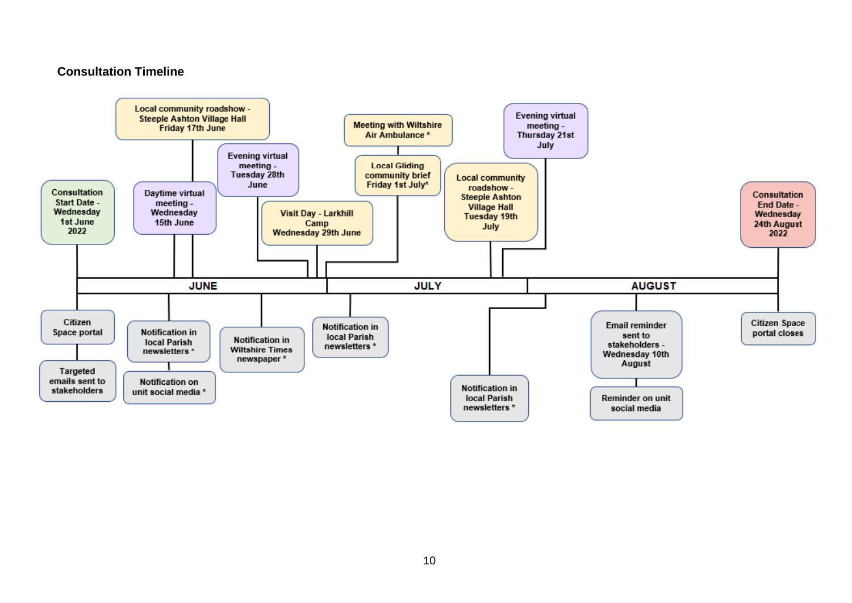#### **Consultation Timeline**

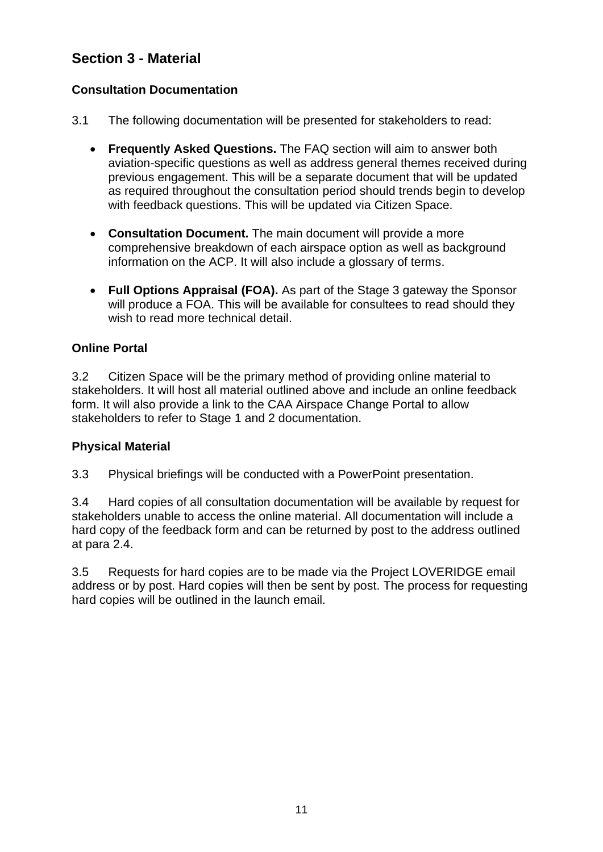## **Section 3 - Material**

#### **Consultation Documentation**

- 3.1 The following documentation will be presented for stakeholders to read:
	- **Frequently Asked Questions.** The FAQ section will aim to answer both aviation-specific questions as well as address general themes received during previous engagement. This will be a separate document that will be updated as required throughout the consultation period should trends begin to develop with feedback questions. This will be updated via Citizen Space.
	- **Consultation Document.** The main document will provide a more comprehensive breakdown of each airspace option as well as background information on the ACP. It will also include a glossary of terms.
	- **Full Options Appraisal (FOA).** As part of the Stage 3 gateway the Sponsor will produce a FOA. This will be available for consultees to read should they wish to read more technical detail.

#### **Online Portal**

3.2 Citizen Space will be the primary method of providing online material to stakeholders. It will host all material outlined above and include an online feedback form. It will also provide a link to the CAA Airspace Change Portal to allow stakeholders to refer to Stage 1 and 2 documentation.

#### **Physical Material**

3.3 Physical briefings will be conducted with a PowerPoint presentation.

3.4 Hard copies of all consultation documentation will be available by request for stakeholders unable to access the online material. All documentation will include a hard copy of the feedback form and can be returned by post to the address outlined at para 2.4.

3.5 Requests for hard copies are to be made via the Project LOVERIDGE email address or by post. Hard copies will then be sent by post. The process for requesting hard copies will be outlined in the launch email.